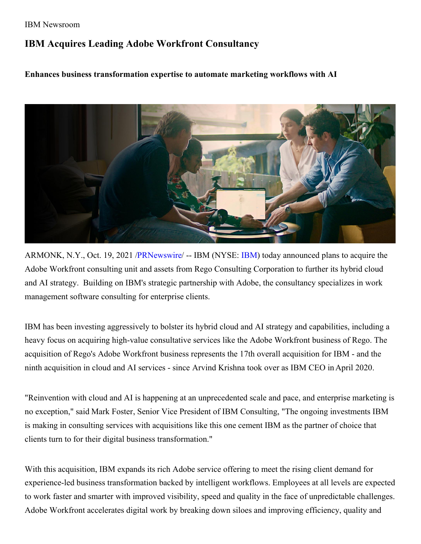## IBM Newsroom

## **IBM Acquires Leading Adobe Workfront Consultancy**

**Enhances business transformation expertise to automate marketing workflows with AI**



ARMONK, N.Y., Oct. 19, 2021 [/PRNewswire](http://www.prnewswire.com/)/ -- [IBM](https://c212.net/c/link/?t=0&l=en&o=3327122-1&h=1253222495&u=http%3A%2F%2Fwww.ibm.com%2Finvestor&a=IBM) (NYSE: IBM) today announced plans to acquire the Adobe Workfront consulting unit and assets from Rego Consulting Corporation to further its hybrid cloud and AI strategy. Building on IBM's strategic partnership with Adobe, the consultancy specializes in work management software consulting for enterprise clients.

IBM has been investing aggressively to bolster its hybrid cloud and AI strategy and capabilities, including a heavy focus on acquiring high-value consultative services like the Adobe Workfront business of Rego. The acquisition of Rego's Adobe Workfront business represents the 17th overall acquisition for IBM - and the ninth acquisition in cloud and AI services - since Arvind Krishna took over as IBM CEO inApril 2020.

"Reinvention with cloud and AI is happening at an unprecedented scale and pace, and enterprise marketing is no exception," said Mark Foster, Senior Vice President of IBM Consulting, "The ongoing investments IBM is making in consulting services with acquisitions like this one cement IBM as the partner of choice that clients turn to for their digital business transformation."

With this acquisition, IBM expands its rich Adobe service offering to meet the rising client demand for experience-led business transformation backed by intelligent workflows. Employees at all levels are expected to work faster and smarter with improved visibility, speed and quality in the face of unpredictable challenges. Adobe Workfront accelerates digital work by breaking down siloes and improving efficiency, quality and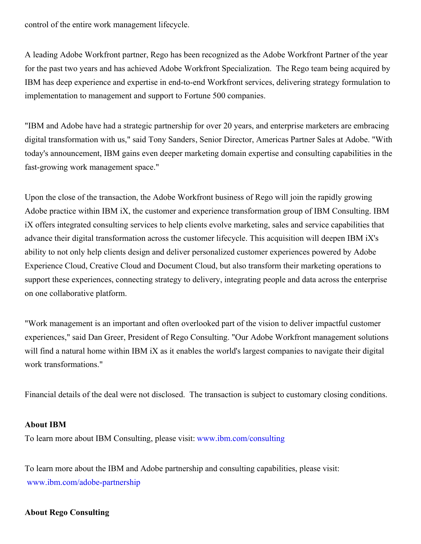control of the entire work management lifecycle.

A leading Adobe Workfront partner, Rego has been recognized as the Adobe Workfront Partner of the year for the past two years and has achieved Adobe Workfront Specialization. The Rego team being acquired by IBM has deep experience and expertise in end-to-end Workfront services, delivering strategy formulation to implementation to management and support to Fortune 500 companies.

"IBM and Adobe have had a strategic partnership for over 20 years, and enterprise marketers are embracing digital transformation with us," said Tony Sanders, Senior Director, Americas Partner Sales at Adobe. "With today's announcement, IBM gains even deeper marketing domain expertise and consulting capabilities in the fast-growing work management space."

Upon the close of the transaction, the Adobe Workfront business of Rego will join the rapidly growing Adobe practice within IBM iX, the customer and experience transformation group of IBM Consulting. IBM iX offers integrated consulting services to help clients evolve marketing, sales and service capabilities that advance their digital transformation across the customer lifecycle. This acquisition will deepen IBM iX's ability to not only help clients design and deliver personalized customer experiences powered by Adobe Experience Cloud, Creative Cloud and Document Cloud, but also transform their marketing operations to support these experiences, connecting strategy to delivery, integrating people and data across the enterprise on one collaborative platform.

"Work management is an important and often overlooked part of the vision to deliver impactful customer experiences," said Dan Greer, President of Rego Consulting. "Our Adobe Workfront management solutions will find a natural home within IBM iX as it enables the world's largest companies to navigate their digital work transformations."

Financial details of the deal were not disclosed. The transaction is subject to customary closing conditions.

## **About IBM**

To learn more about IBM Consulting, please visit: [www.ibm.com/consulting](https://c212.net/c/link/?t=0&l=en&o=3327122-1&h=1126119318&u=http%3A%2F%2Fwww.ibm.com%2Fconsulting&a=www.ibm.com%2Fconsulting)

To learn more about the IBM and Adobe partnership and consulting capabilities, please visit: [www.ibm.com/adobe-partnership](https://c212.net/c/link/?t=0&l=en&o=3327122-1&h=2439436327&u=http%3A%2F%2Fwww.ibm.com%2Fadobe-partnership&a=www.ibm.com%2Fadobe-partnership)

## **About Rego Consulting**